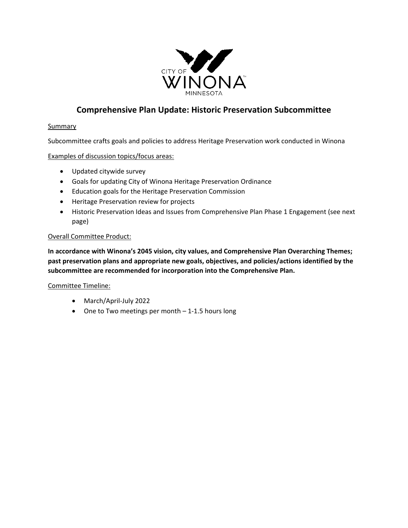

## **Comprehensive Plan Update: Historic Preservation Subcommittee**

#### **Summary**

Subcommittee crafts goals and policies to address Heritage Preservation work conducted in Winona

Examples of discussion topics/focus areas:

- Updated citywide survey
- Goals for updating City of Winona Heritage Preservation Ordinance
- Education goals for the Heritage Preservation Commission
- Heritage Preservation review for projects
- Historic Preservation Ideas and Issues from Comprehensive Plan Phase 1 Engagement (see next page)

#### Overall Committee Product:

**In accordance with Winona's 2045 vision, city values, and Comprehensive Plan Overarching Themes; past preservation plans and appropriate new goals, objectives, and policies/actions identified by the subcommittee are recommended for incorporation into the Comprehensive Plan.** 

Committee Timeline:

- March/April-July 2022
- One to Two meetings per month 1-1.5 hours long